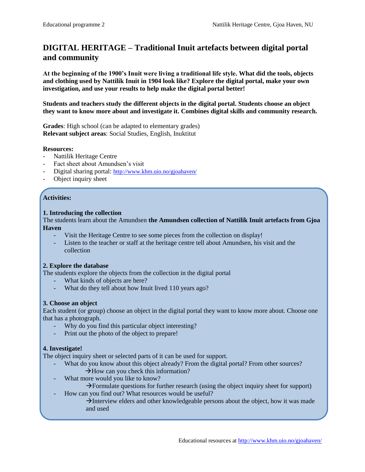# **DIGITAL HERITAGE – Traditional Inuit artefacts between digital portal and community**

**At the beginning of the 1900's Inuit were living a traditional life style. What did the tools, objects and clothing used by Nattilik Inuit in 1904 look like? Explore the digital portal, make your own investigation, and use your results to help make the digital portal better!**

**Students and teachers study the different objects in the digital portal. Students choose an object they want to know more about and investigate it. Combines digital skills and community research.**

**Grades**: High school (can be adapted to elementary grades) **Relevant subject areas**: Social Studies, English, Inuktitut

#### **Resources:**

- Nattilik Heritage Centre
- Fact sheet about Amundsen's visit
- Digital sharing portal: <http://www.khm.uio.no/gjoahaven/>
- Object inquiry sheet

## **Activities:**

#### **1. Introducing the collection**

The students learn about the Amundsen **the Amundsen collection of Nattilik Inuit artefacts from Gjoa Haven**

- Visit the Heritage Centre to see some pieces from the collection on display!
- Listen to the teacher or staff at the heritage centre tell about Amundsen, his visit and the collection

## **2. Explore the database**

The students explore the objects from the collection in the digital portal

- What kinds of objects are here?
- What do they tell about how Inuit lived 110 years ago?

## **3. Choose an object**

Each student (or group) choose an object in the digital portal they want to know more about. Choose one that has a photograph.

- Why do you find this particular object interesting?
- Print out the photo of the object to prepare!

## **4. Investigate!**

The object inquiry sheet or selected parts of it can be used for support.

- What do you know about this object already? From the digital portal? From other sources?
	- $\rightarrow$  How can you check this information?
- What more would you like to know?
	- $\rightarrow$  Formulate questions for further research (using the object inquiry sheet for support)
- How can you find out? What resources would be useful?

 $\rightarrow$  Interview elders and other knowledgeable persons about the object, how it was made and used